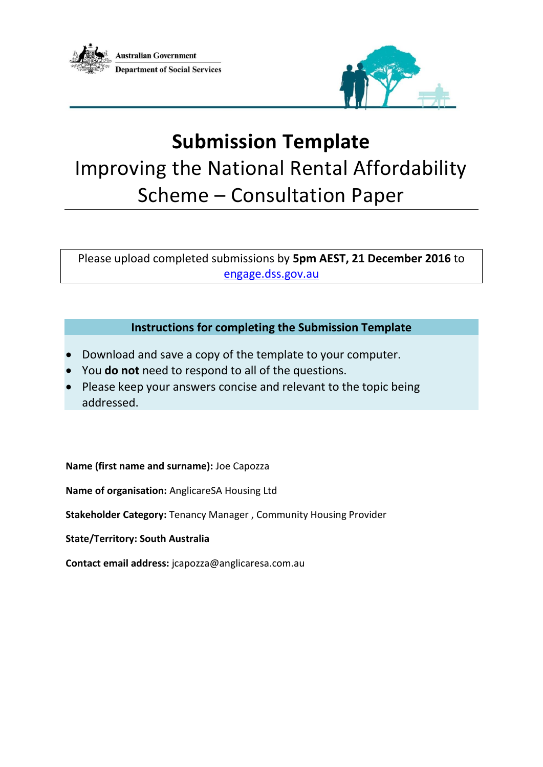



# **Submission Template** Improving the National Rental Affordability Scheme – Consultation Paper

Please upload completed submissions by **5pm AEST, 21 December 2016** to [engage.dss.gov.au](http://www.engage.dss.gov.au/)

# **Instructions for completing the Submission Template**

- Download and save a copy of the template to your computer.
- You **do not** need to respond to all of the questions.
- Please keep your answers concise and relevant to the topic being addressed.

#### **Name (first name and surname):** Joe Capozza

**Name of organisation:** AnglicareSA Housing Ltd

**Stakeholder Category:** Tenancy Manager , Community Housing Provider

**State/Territory: South Australia**

**Contact email address:** jcapozza@anglicaresa.com.au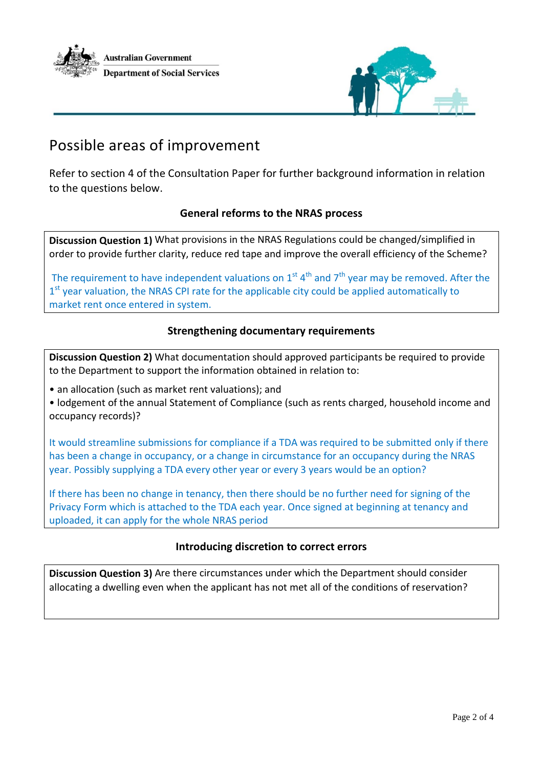



# Possible areas of improvement

Refer to section 4 of the Consultation Paper for further background information in relation to the questions below.

#### **General reforms to the NRAS process**

**Discussion Question 1)** What provisions in the NRAS Regulations could be changed/simplified in order to provide further clarity, reduce red tape and improve the overall efficiency of the Scheme?

The requirement to have independent valuations on 1<sup>st 4th</sup> and 7<sup>th</sup> year may be removed. After the 1<sup>st</sup> year valuation, the NRAS CPI rate for the applicable city could be applied automatically to market rent once entered in system.

#### **Strengthening documentary requirements**

**Discussion Question 2)** What documentation should approved participants be required to provide to the Department to support the information obtained in relation to:

• an allocation (such as market rent valuations); and

• lodgement of the annual Statement of Compliance (such as rents charged, household income and occupancy records)?

It would streamline submissions for compliance if a TDA was required to be submitted only if there has been a change in occupancy, or a change in circumstance for an occupancy during the NRAS year. Possibly supplying a TDA every other year or every 3 years would be an option?

If there has been no change in tenancy, then there should be no further need for signing of the Privacy Form which is attached to the TDA each year. Once signed at beginning at tenancy and uploaded, it can apply for the whole NRAS period

#### **Introducing discretion to correct errors**

**Discussion Question 3)** Are there circumstances under which the Department should consider allocating a dwelling even when the applicant has not met all of the conditions of reservation?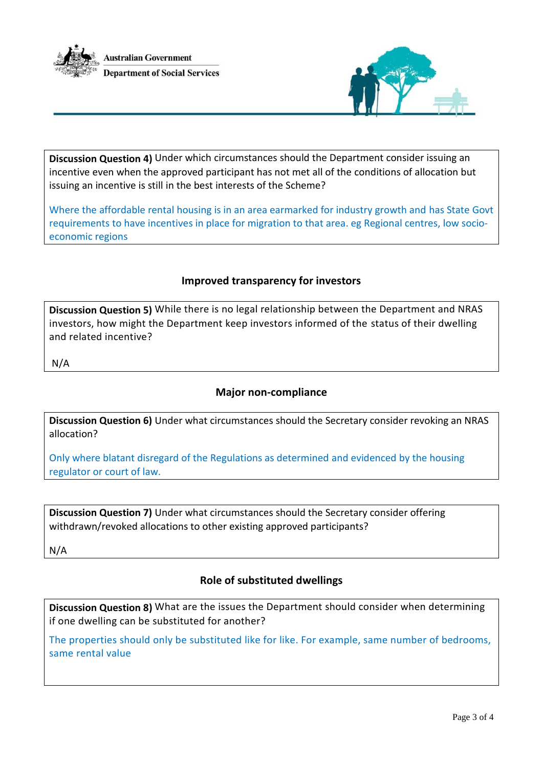



**Discussion Question 4)** Under which circumstances should the Department consider issuing an incentive even when the approved participant has not met all of the conditions of allocation but issuing an incentive is still in the best interests of the Scheme?

Where the affordable rental housing is in an area earmarked for industry growth and has State Govt requirements to have incentives in place for migration to that area. eg Regional centres, low socioeconomic regions

#### **Improved transparency for investors**

**Discussion Question 5)** While there is no legal relationship between the Department and NRAS investors, how might the Department keep investors informed of the status of their dwelling and related incentive?

N/A

#### **Major non-compliance**

**Discussion Question 6)** Under what circumstances should the Secretary consider revoking an NRAS allocation?

Only where blatant disregard of the Regulations as determined and evidenced by the housing regulator or court of law.

**Discussion Question 7)** Under what circumstances should the Secretary consider offering withdrawn/revoked allocations to other existing approved participants?

N/A

## **Role of substituted dwellings**

**Discussion Question 8)** What are the issues the Department should consider when determining if one dwelling can be substituted for another?

The properties should only be substituted like for like. For example, same number of bedrooms, same rental value